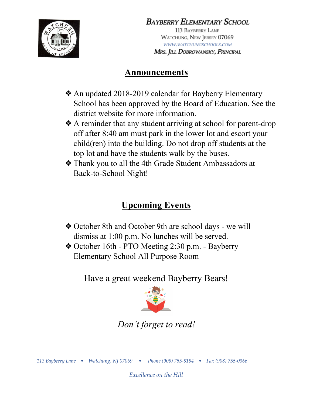

Bayberry Elementary School

113 BAYBERRY LANE WATCHUNG, NEW JERSEY 07069 WWW.WATCHUNGSCHOOLS.COM Mrs. Jill DOBROWANSKY, PRINCIPAL

# **Announcements**

- ❖An updated 2018-2019 calendar for Bayberry Elementary School has been approved by the Board of Education. See the district website for more information.
- ❖A reminder that any student arriving at school for parent-drop off after 8:40 am must park in the lower lot and escort your child(ren) into the building. Do not drop off students at the top lot and have the students walk by the buses.
- ❖Thank you to all the 4th Grade Student Ambassadors at Back-to-School Night!

# **Upcoming Events**

- ❖October 8th and October 9th are school days we will dismiss at 1:00 p.m. No lunches will be served.
- ❖October 16th PTO Meeting 2:30 p.m. Bayberry Elementary School All Purpose Room

Have a great weekend Bayberry Bears!



*Don't forget to read!*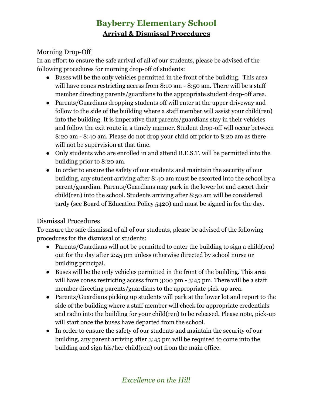## **Bayberry Elementary School Arrival & Dismissal Procedures**

#### Morning Drop-Off

In an effort to ensure the safe arrival of all of our students, please be advised of the following procedures for morning drop-off of students:

- Buses will be the only vehicles permitted in the front of the building. This area will have cones restricting access from 8:10 am - 8:50 am. There will be a staff member directing parents/guardians to the appropriate student drop-off area.
- Parents/Guardians dropping students off will enter at the upper driveway and follow to the side of the building where a staff member will assist your child(ren) into the building. It is imperative that parents/guardians stay in their vehicles and follow the exit route in a timely manner. Student drop-off will occur between 8:20 am - 8:40 am. Please do not drop your child off prior to 8:20 am as there will not be supervision at that time.
- Only students who are enrolled in and attend B.E.S.T. will be permitted into the building prior to 8:20 am.
- In order to ensure the safety of our students and maintain the security of our building, any student arriving after 8:40 am must be escorted into the school by a parent/guardian. Parents/Guardians may park in the lower lot and escort their child(ren) into the school. Students arriving after 8:50 am will be considered tardy (see Board of Education Policy 5420) and must be signed in for the day.

#### Dismissal Procedures

To ensure the safe dismissal of all of our students, please be advised of the following procedures for the dismissal of students:

- Parents/Guardians will not be permitted to enter the building to sign a child(ren) out for the day after 2:45 pm unless otherwise directed by school nurse or building principal.
- Buses will be the only vehicles permitted in the front of the building. This area will have cones restricting access from 3:00 pm - 3:45 pm. There will be a staff member directing parents/guardians to the appropriate pick-up area.
- Parents/Guardians picking up students will park at the lower lot and report to the side of the building where a staff member will check for appropriate credentials and radio into the building for your child(ren) to be released. Please note, pick-up will start once the buses have departed from the school.
- In order to ensure the safety of our students and maintain the security of our building, any parent arriving after 3:45 pm will be required to come into the building and sign his/her child(ren) out from the main office.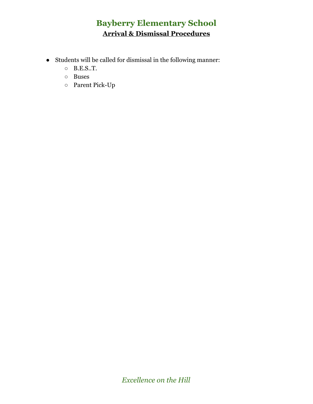## **Bayberry Elementary School Arrival & Dismissal Procedures**

- $\bullet~$  Students will be called for dismissal in the following manner:
	- B.E.S..T.
	- Buses
	- Parent Pick-Up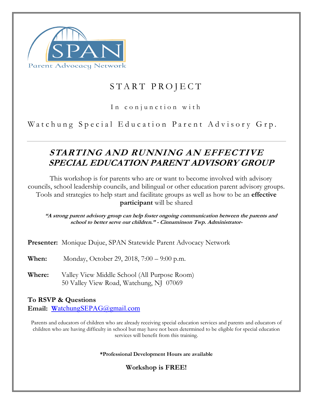

# START PROJECT

#### In conjunction with

Watchung Special Education Parent Advisory Grp.

# **STARTING AND RUNNING AN EFFECTIVE SPECIAL EDUCATION PARENT ADVISORY GROUP**

This workshop is for parents who are or want to become involved with advisory councils, school leadership councils, and bilingual or other education parent advisory groups. Tools and strategies to help start and facilitate groups as well as how to be an **effective participant** will be shared

**"A strong parent advisory group can help foster ongoing communication between the parents and school to better serve our children." - Cinnaminson Twp. Administrator-**

**Presenter:** Monique Dujue, SPAN Statewide Parent Advocacy Network

**When:** Monday, October 29, 2018, 7:00 – 9:00 p.m.

**Where:** Valley View Middle School (All Purpose Room) 50 Valley View Road, Watchung, NJ 07069

**To RSVP & Questions Email: W**atchungSEPAG@gmail.com

Parents and educators of children who are already receiving special education services and parents and educators of children who are having difficulty in school but may have not been determined to be eligible for special education services will benefit from this training.

**\*Professional Development Hours are available**

**Workshop is FREE!**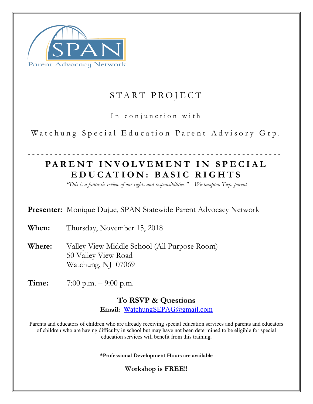

# START PROJECT

In conjunction with

Watchung Special Education Parent Advisory Grp.

# --------------------------------------------------------- **PARENT INVOLVEMENT IN SPECIAL EDUCATION: BASIC RIGHTS**

*"This is a fantastic review of our rights and responsibilities." – Westampton Twp. parent*

**Presenter:** Monique Dujue, SPAN Statewide Parent Advocacy Network

**When:** Thursday, November 15, 2018

**Where:** Valley View Middle School (All Purpose Room) 50 Valley View Road Watchung, NJ 07069

**Time:** 7:00 p.m. – 9:00 p.m.

#### **To RSVP & Questions**

**Email: W**atchungSEPAG@gmail.com

Parents and educators of children who are already receiving special education services and parents and educators of children who are having difficulty in school but may have not been determined to be eligible for special education services will benefit from this training.

**\*Professional Development Hours are available**

**Workshop is FREE!!**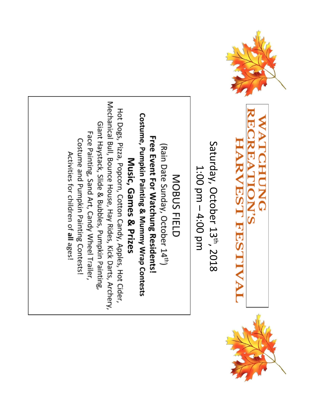

# **WATCHUNG REATION'S HARVEST FESTIV**



Saturday, October 13th, 2018 1:00 pm - 4:00 pm

# MOBUS FIELD

Costume, Pumpkin Painting & Mummy Wrap Contests **Free Event For Matchrig Residents:** (Rain Date Sunday, October 14<sup>th</sup>) Music, Games & Prizes

Mechanical Bull, Bounce House, Hay Rides, Kick Darts, Archery, Hot Dogs, Pizza, Popcorn, Cotton Candy, Apples, Hot Cider, Giant Haystack, Slide & Bubbles, Pumpkin Painting, Face Painting, Sand Art, Candy Wheel Trailer, Costume and Pumpkin Painting Contests! Activities for children of all ages!